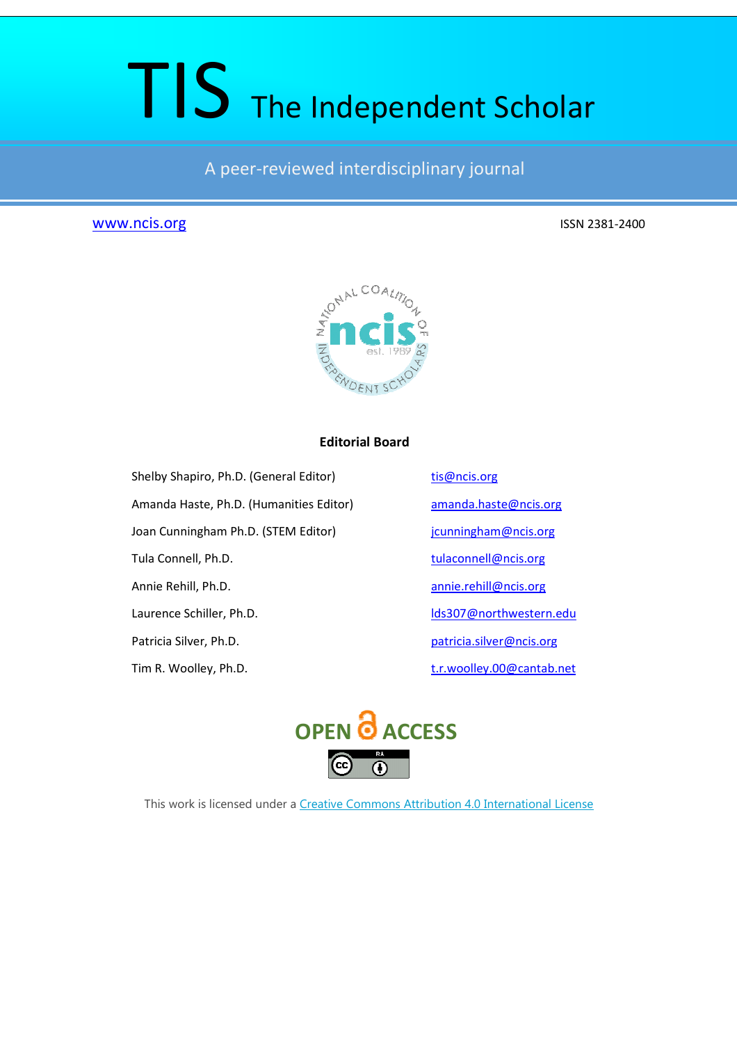# TIS The Independent Scholar

A peer-reviewed interdisciplinary journal

# www.ncis.org ISSN 2381-2400



# **Editorial Board**

Shelby Shapiro, Ph.D. (General Editor) tis@ncis.org

Joan Cunningham Ph.D. (STEM Editor) jcunningham@ncis.org

Amanda Haste, Ph.D. (Humanities Editor) amanda.haste@ncis.org Tula Connell, Ph.D. tulaconnell@ncis.org Annie Rehill, Ph.D. annie.rehill@ncis.org Laurence Schiller, Ph.D. lds307@northwestern.edu Patricia Silver, Ph.D. example 20 a patricia.silver@ncis.org

Tim R. Woolley, Ph.D. t.r.woolley.00@cantab.net



This work is licensed under a Creative Commons Attribution 4.0 International License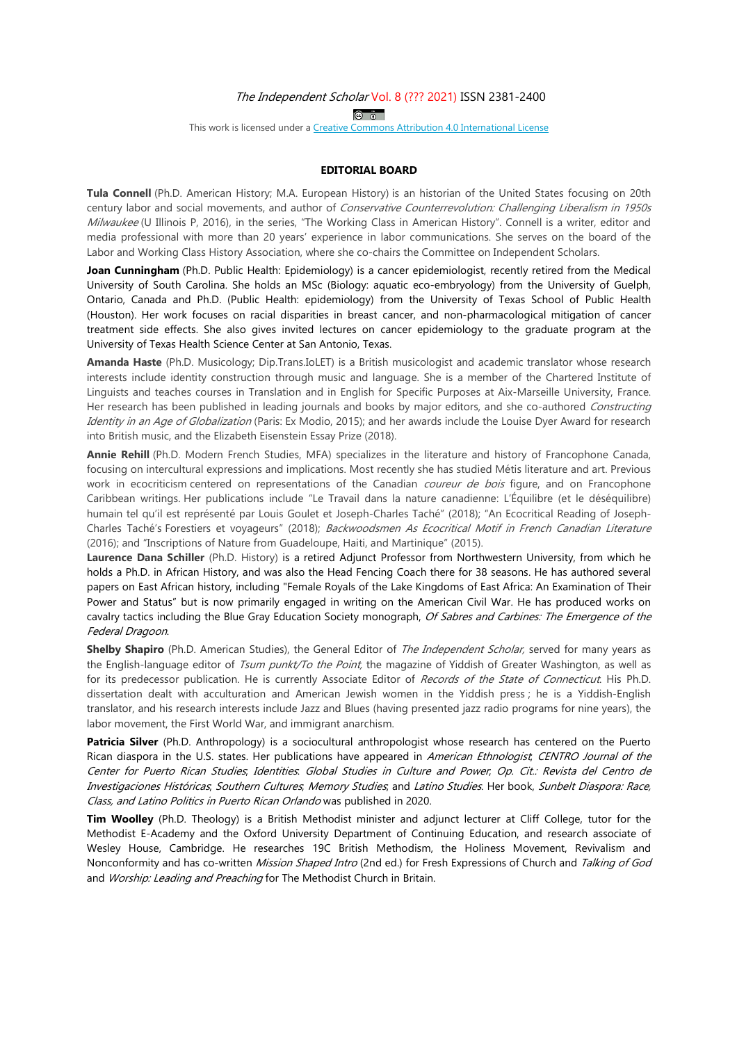#### The Independent Scholar Vol. 8 (??? 2021) ISSN 2381-2400

 $\circ$   $\circ$ 

This work is licensed under a Creative Commons Attribution 4.0 International License

#### **EDITORIAL BOARD**

**Tula Connell** (Ph.D. American History; M.A. European History) is an historian of the United States focusing on 20th century labor and social movements, and author of Conservative Counterrevolution: Challenging Liberalism in 1950s Milwaukee (U Illinois P, 2016), in the series, "The Working Class in American History". Connell is a writer, editor and media professional with more than 20 years' experience in labor communications. She serves on the board of the Labor and Working Class History Association, where she co-chairs the Committee on Independent Scholars.

**Joan Cunningham** (Ph.D. Public Health: Epidemiology) is a cancer epidemiologist, recently retired from the Medical University of South Carolina. She holds an MSc (Biology: aquatic eco-embryology) from the University of Guelph, Ontario, Canada and Ph.D. (Public Health: epidemiology) from the University of Texas School of Public Health (Houston). Her work focuses on racial disparities in breast cancer, and non-pharmacological mitigation of cancer treatment side effects. She also gives invited lectures on cancer epidemiology to the graduate program at the University of Texas Health Science Center at San Antonio, Texas.

**Amanda Haste** (Ph.D. Musicology; Dip.Trans.IoLET) is a British musicologist and academic translator whose research interests include identity construction through music and language. She is a member of the Chartered Institute of Linguists and teaches courses in Translation and in English for Specific Purposes at Aix-Marseille University, France. Her research has been published in leading journals and books by major editors, and she co-authored Constructing Identity in an Age of Globalization (Paris: Ex Modio, 2015); and her awards include the Louise Dyer Award for research into British music, and the Elizabeth Eisenstein Essay Prize (2018).

**Annie Rehill** (Ph.D. Modern French Studies, MFA) specializes in the literature and history of Francophone Canada, focusing on intercultural expressions and implications. Most recently she has studied Métis literature and art. Previous work in ecocriticism centered on representations of the Canadian *coureur de bois* figure, and on Francophone Caribbean writings. Her publications include "Le Travail dans la nature canadienne: L'Équilibre (et le déséquilibre) humain tel qu'il est représenté par Louis Goulet et Joseph-Charles Taché" (2018); "An Ecocritical Reading of Joseph-Charles Taché's Forestiers et voyageurs" (2018); Backwoodsmen As Ecocritical Motif in French Canadian Literature (2016); and "Inscriptions of Nature from Guadeloupe, Haiti, and Martinique" (2015).

**Laurence Dana Schiller** (Ph.D. History) is a retired Adjunct Professor from Northwestern University, from which he holds a Ph.D. in African History, and was also the Head Fencing Coach there for 38 seasons. He has authored several papers on East African history, including "Female Royals of the Lake Kingdoms of East Africa: An Examination of Their Power and Status" but is now primarily engaged in writing on the American Civil War. He has produced works on cavalry tactics including the Blue Gray Education Society monograph, Of Sabres and Carbines: The Emergence of the Federal Dragoon.

**Shelby Shapiro** (Ph.D. American Studies), the General Editor of The Independent Scholar, served for many years as the English-language editor of Tsum punkt/To the Point, the magazine of Yiddish of Greater Washington, as well as for its predecessor publication. He is currently Associate Editor of Records of the State of Connecticut. His Ph.D. dissertation dealt with acculturation and American Jewish women in the Yiddish press ; he is a Yiddish-English translator, and his research interests include Jazz and Blues (having presented jazz radio programs for nine years), the labor movement, the First World War, and immigrant anarchism.

**Patricia Silver** (Ph.D. Anthropology) is a sociocultural anthropologist whose research has centered on the Puerto Rican diaspora in the U.S. states. Her publications have appeared in American Ethnologist; CENTRO Journal of the Center for Puerto Rican Studies; Identities: Global Studies in Culture and Power; Op. Cit.: Revista del Centro de Investigaciones Históricas; Southern Cultures; Memory Studies; and Latino Studies. Her book, Sunbelt Diaspora: Race, Class, and Latino Politics in Puerto Rican Orlando was published in 2020.

**Tim Woolley** (Ph.D. Theology) is a British Methodist minister and adjunct lecturer at Cliff College, tutor for the Methodist E-Academy and the Oxford University Department of Continuing Education, and research associate of Wesley House, Cambridge. He researches 19C British Methodism, the Holiness Movement, Revivalism and Nonconformity and has co-written Mission Shaped Intro (2nd ed.) for Fresh Expressions of Church and Talking of God and Worship: Leading and Preaching for The Methodist Church in Britain.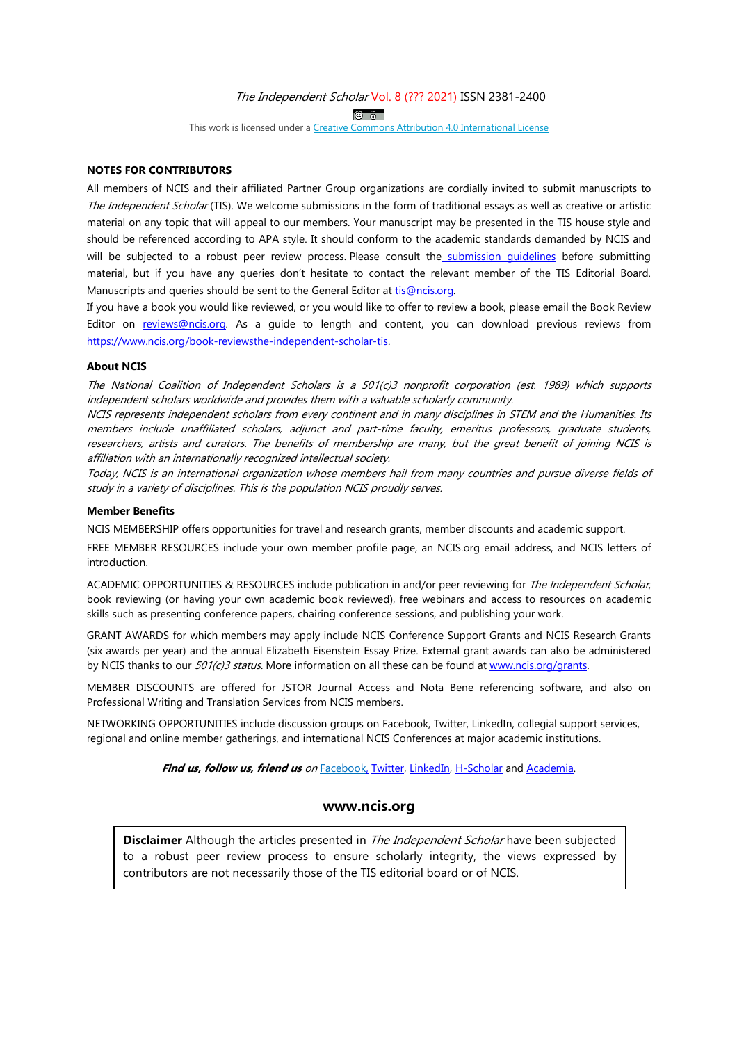#### The Independent Scholar Vol. 8 (??? 2021) ISSN 2381-2400

 $\overline{a}$   $\overline{b}$ 

This work is licensed under a Creative Commons Attribution 4.0 International License

#### **NOTES FOR CONTRIBUTORS**

All members of NCIS and their affiliated Partner Group organizations are cordially invited to submit manuscripts to The Independent Scholar (TIS). We welcome submissions in the form of traditional essays as well as creative or artistic material on any topic that will appeal to our members. Your manuscript may be presented in the TIS house style and should be referenced according to APA style. It should conform to the academic standards demanded by NCIS and will be subjected to a robust peer review process. Please consult the submission quidelines before submitting material, but if you have any queries don't hesitate to contact the relevant member of the TIS Editorial Board. Manuscripts and queries should be sent to the General Editor at tis@ncis.org.

If you have a book you would like reviewed, or you would like to offer to review a book, please email the Book Review Editor on reviews@ncis.org. As a guide to length and content, you can download previous reviews from https://www.ncis.org/book-reviewsthe-independent-scholar-tis.

#### **About NCIS**

The National Coalition of Independent Scholars is a 501(c)3 nonprofit corporation (est. 1989) which supports independent scholars worldwide and provides them with a valuable scholarly community.

NCIS represents independent scholars from every continent and in many disciplines in STEM and the Humanities. Its members include unaffiliated scholars, adjunct and part-time faculty, emeritus professors, graduate students, researchers, artists and curators. The benefits of membership are many, but the great benefit of joining NCIS is affiliation with an internationally recognized intellectual society.

Today, NCIS is an international organization whose members hail from many countries and pursue diverse fields of study in a variety of disciplines. This is the population NCIS proudly serves.

#### **Member Benefits**

NCIS MEMBERSHIP offers opportunities for travel and research grants, member discounts and academic support.

FREE MEMBER RESOURCES include your own member profile page, an NCIS.org email address, and NCIS letters of introduction.

ACADEMIC OPPORTUNITIES & RESOURCES include publication in and/or peer reviewing for *The Independent Scholar*, book reviewing (or having your own academic book reviewed), free webinars and access to resources on academic skills such as presenting conference papers, chairing conference sessions, and publishing your work.

GRANT AWARDS for which members may apply include NCIS Conference Support Grants and NCIS Research Grants (six awards per year) and the annual Elizabeth Eisenstein Essay Prize. External grant awards can also be administered by NCIS thanks to our 501(c)3 status. More information on all these can be found at www.ncis.org/grants.

MEMBER DISCOUNTS are offered for JSTOR Journal Access and Nota Bene referencing software, and also on Professional Writing and Translation Services from NCIS members.

NETWORKING OPPORTUNITIES include discussion groups on Facebook, Twitter, LinkedIn, collegial support services, regional and online member gatherings, and international NCIS Conferences at major academic institutions.

**Find us, follow us, friend us** on Facebook, Twitter, LinkedIn, H-Scholar and Academia.

## **www.ncis.org**

**Disclaimer** Although the articles presented in *The Independent Scholar* have been subjected to a robust peer review process to ensure scholarly integrity, the views expressed by contributors are not necessarily those of the TIS editorial board or of NCIS.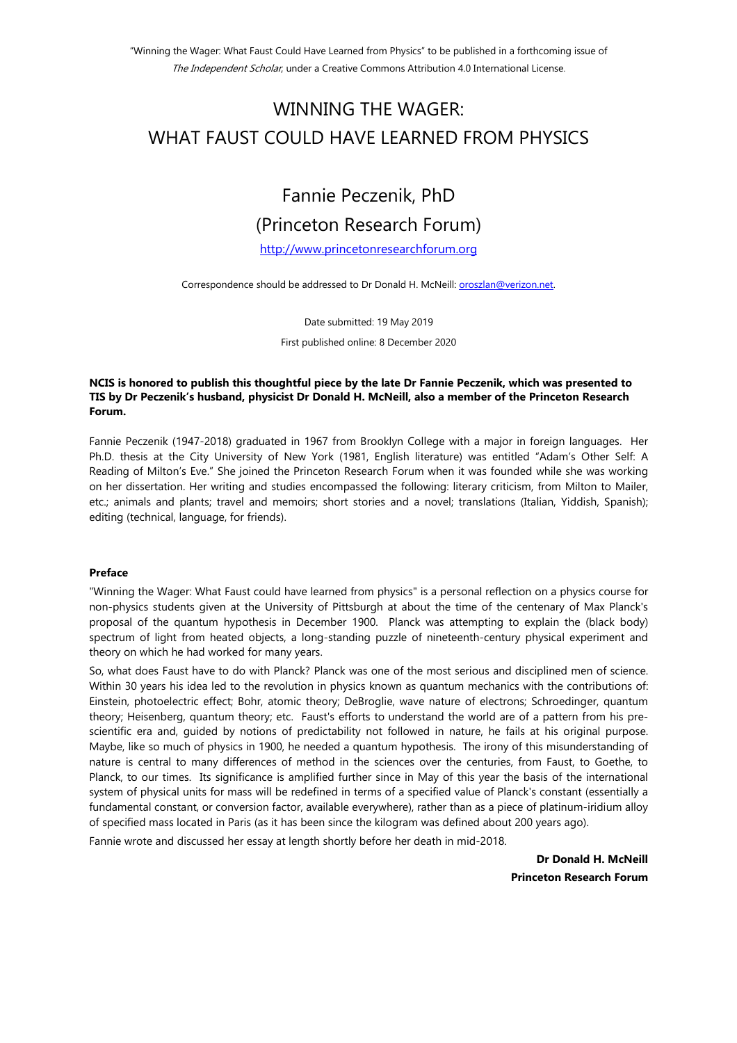# WINNING THE WAGER: WHAT FAUST COULD HAVE LEARNED FROM PHYSICS

# Fannie Peczenik, PhD (Princeton Research Forum)

http://www.princetonresearchforum.org

Correspondence should be addressed to Dr Donald H. McNeill: oroszlan@verizon.net.

Date submitted: 19 May 2019

First published online: 8 December 2020

## **NCIS is honored to publish this thoughtful piece by the late Dr Fannie Peczenik, which was presented to TIS by Dr Peczenik's husband, physicist Dr Donald H. McNeill, also a member of the Princeton Research Forum.**

Fannie Peczenik (1947-2018) graduated in 1967 from Brooklyn College with a major in foreign languages. Her Ph.D. thesis at the City University of New York (1981, English literature) was entitled "Adam's Other Self: A Reading of Milton's Eve." She joined the Princeton Research Forum when it was founded while she was working on her dissertation. Her writing and studies encompassed the following: literary criticism, from Milton to Mailer, etc.; animals and plants; travel and memoirs; short stories and a novel; translations (Italian, Yiddish, Spanish); editing (technical, language, for friends).

## **Preface**

"Winning the Wager: What Faust could have learned from physics" is a personal reflection on a physics course for non-physics students given at the University of Pittsburgh at about the time of the centenary of Max Planck's proposal of the quantum hypothesis in December 1900. Planck was attempting to explain the (black body) spectrum of light from heated objects, a long-standing puzzle of nineteenth-century physical experiment and theory on which he had worked for many years.

So, what does Faust have to do with Planck? Planck was one of the most serious and disciplined men of science. Within 30 years his idea led to the revolution in physics known as quantum mechanics with the contributions of: Einstein, photoelectric effect; Bohr, atomic theory; DeBroglie, wave nature of electrons; Schroedinger, quantum theory; Heisenberg, quantum theory; etc. Faust's efforts to understand the world are of a pattern from his prescientific era and, guided by notions of predictability not followed in nature, he fails at his original purpose. Maybe, like so much of physics in 1900, he needed a quantum hypothesis. The irony of this misunderstanding of nature is central to many differences of method in the sciences over the centuries, from Faust, to Goethe, to Planck, to our times. Its significance is amplified further since in May of this year the basis of the international system of physical units for mass will be redefined in terms of a specified value of Planck's constant (essentially a fundamental constant, or conversion factor, available everywhere), rather than as a piece of platinum-iridium alloy of specified mass located in Paris (as it has been since the kilogram was defined about 200 years ago).

Fannie wrote and discussed her essay at length shortly before her death in mid-2018.

**Dr Donald H. McNeill Princeton Research Forum**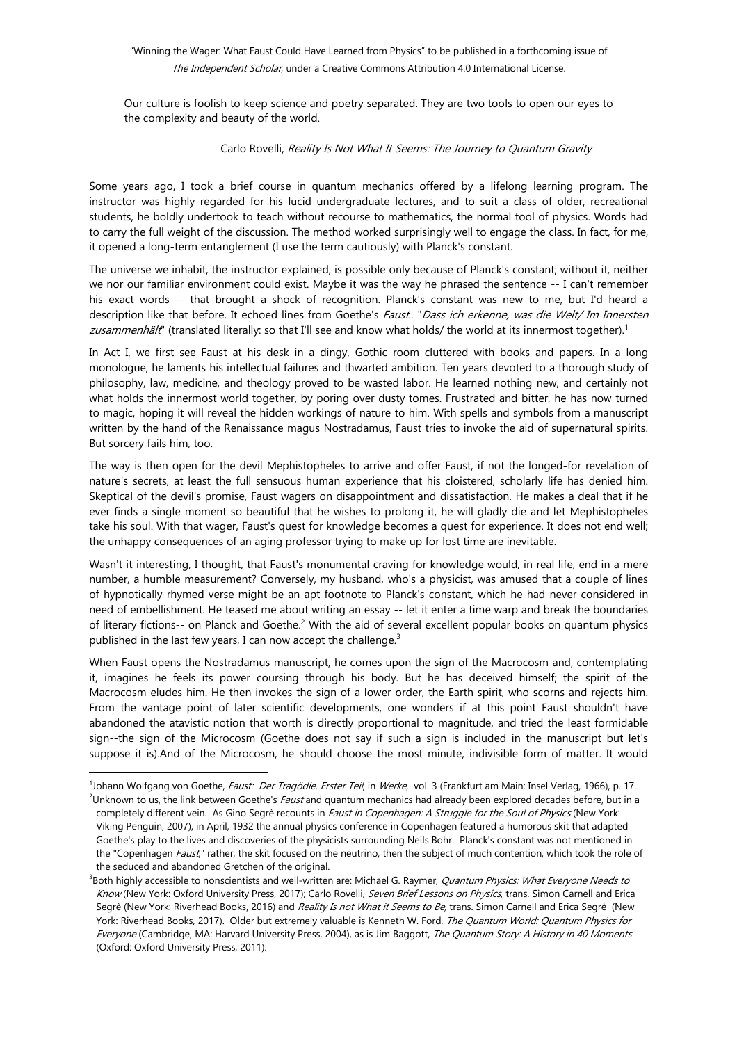"Winning the Wager: What Faust Could Have Learned from Physics" to be published in a forthcoming issue of The Independent Scholar, under a Creative Commons Attribution 4.0 International License.

Our culture is foolish to keep science and poetry separated. They are two tools to open our eyes to the complexity and beauty of the world.

#### Carlo Rovelli, Reality Is Not What It Seems: The Journey to Quantum Gravity

Some years ago, I took a brief course in quantum mechanics offered by a lifelong learning program. The instructor was highly regarded for his lucid undergraduate lectures, and to suit a class of older, recreational students, he boldly undertook to teach without recourse to mathematics, the normal tool of physics. Words had to carry the full weight of the discussion. The method worked surprisingly well to engage the class. In fact, for me, it opened a long-term entanglement (I use the term cautiously) with Planck's constant.

The universe we inhabit, the instructor explained, is possible only because of Planck's constant; without it, neither we nor our familiar environment could exist. Maybe it was the way he phrased the sentence -- I can't remember his exact words -- that brought a shock of recognition. Planck's constant was new to me, but I'd heard a description like that before. It echoed lines from Goethe's Faust.. "Dass ich erkenne, was die Welt/ Im Innersten zusammenhält" (translated literally: so that I'll see and know what holds/ the world at its innermost together).<sup>1</sup>

In Act I, we first see Faust at his desk in a dingy, Gothic room cluttered with books and papers. In a long monologue, he laments his intellectual failures and thwarted ambition. Ten years devoted to a thorough study of philosophy, law, medicine, and theology proved to be wasted labor. He learned nothing new, and certainly not what holds the innermost world together, by poring over dusty tomes. Frustrated and bitter, he has now turned to magic, hoping it will reveal the hidden workings of nature to him. With spells and symbols from a manuscript written by the hand of the Renaissance magus Nostradamus, Faust tries to invoke the aid of supernatural spirits. But sorcery fails him, too.

The way is then open for the devil Mephistopheles to arrive and offer Faust, if not the longed-for revelation of nature's secrets, at least the full sensuous human experience that his cloistered, scholarly life has denied him. Skeptical of the devil's promise, Faust wagers on disappointment and dissatisfaction. He makes a deal that if he ever finds a single moment so beautiful that he wishes to prolong it, he will gladly die and let Mephistopheles take his soul. With that wager, Faust's quest for knowledge becomes a quest for experience. It does not end well; the unhappy consequences of an aging professor trying to make up for lost time are inevitable.

Wasn't it interesting, I thought, that Faust's monumental craving for knowledge would, in real life, end in a mere number, a humble measurement? Conversely, my husband, who's a physicist, was amused that a couple of lines of hypnotically rhymed verse might be an apt footnote to Planck's constant, which he had never considered in need of embellishment. He teased me about writing an essay -- let it enter a time warp and break the boundaries of literary fictions-- on Planck and Goethe.<sup>2</sup> With the aid of several excellent popular books on quantum physics published in the last few years, I can now accept the challenge. $3$ 

When Faust opens the Nostradamus manuscript, he comes upon the sign of the Macrocosm and, contemplating it, imagines he feels its power coursing through his body. But he has deceived himself; the spirit of the Macrocosm eludes him. He then invokes the sign of a lower order, the Earth spirit, who scorns and rejects him. From the vantage point of later scientific developments, one wonders if at this point Faust shouldn't have abandoned the atavistic notion that worth is directly proportional to magnitude, and tried the least formidable sign--the sign of the Microcosm (Goethe does not say if such a sign is included in the manuscript but let's suppose it is).And of the Microcosm, he should choose the most minute, indivisible form of matter. It would

<sup>&</sup>lt;sup>1</sup>Johann Wolfgang von Goethe, *Faust: Der Tragödie. Erster Teil*, in *Werke*, vol. 3 (Frankfurt am Main: Insel Verlag, 1966), p. 17. <sup>2</sup>Unknown to us, the link between Goethe's Faust and quantum mechanics had already been explored decades before, but in a completely different vein. As Gino Segrè recounts in Faust in Copenhagen: A Struggle for the Soul of Physics (New York: Viking Penguin, 2007), in April, 1932 the annual physics conference in Copenhagen featured a humorous skit that adapted Goethe's play to the lives and discoveries of the physicists surrounding Neils Bohr. Planck's constant was not mentioned in the "Copenhagen Faust;" rather, the skit focused on the neutrino, then the subject of much contention, which took the role of the seduced and abandoned Gretchen of the original.

<sup>&</sup>lt;sup>3</sup>Both highly accessible to nonscientists and well-written are: Michael G. Raymer, *Quantum Physics: What Everyone Needs to* Know (New York: Oxford University Press, 2017); Carlo Rovelli, Seven Brief Lessons on Physics, trans. Simon Carnell and Erica Segrè (New York: Riverhead Books, 2016) and Reality Is not What it Seems to Be, trans. Simon Carnell and Erica Segrè (New York: Riverhead Books, 2017). Older but extremely valuable is Kenneth W. Ford, The Quantum World: Quantum Physics for Everyone (Cambridge, MA: Harvard University Press, 2004), as is Jim Baggott, The Quantum Story: A History in 40 Moments (Oxford: Oxford University Press, 2011).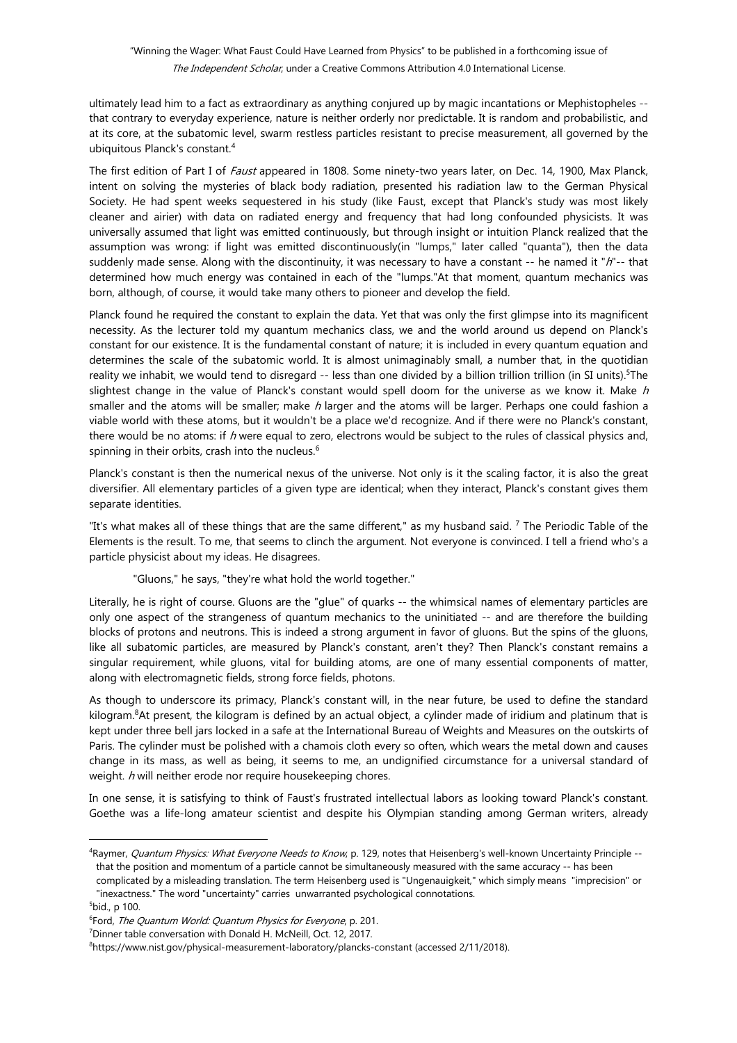# "Winning the Wager: What Faust Could Have Learned from Physics" to be published in a forthcoming issue of The Independent Scholar, under a Creative Commons Attribution 4.0 International License.

ultimately lead him to a fact as extraordinary as anything conjured up by magic incantations or Mephistopheles - that contrary to everyday experience, nature is neither orderly nor predictable. It is random and probabilistic, and at its core, at the subatomic level, swarm restless particles resistant to precise measurement, all governed by the ubiquitous Planck's constant.<sup>4</sup>

The first edition of Part I of Faust appeared in 1808. Some ninety-two years later, on Dec. 14, 1900, Max Planck, intent on solving the mysteries of black body radiation, presented his radiation law to the German Physical Society. He had spent weeks sequestered in his study (like Faust, except that Planck's study was most likely cleaner and airier) with data on radiated energy and frequency that had long confounded physicists. It was universally assumed that light was emitted continuously, but through insight or intuition Planck realized that the assumption was wrong: if light was emitted discontinuously(in "lumps," later called "quanta"), then the data suddenly made sense. Along with the discontinuity, it was necessary to have a constant -- he named it "h"-- that determined how much energy was contained in each of the "lumps."At that moment, quantum mechanics was born, although, of course, it would take many others to pioneer and develop the field.

Planck found he required the constant to explain the data. Yet that was only the first glimpse into its magnificent necessity. As the lecturer told my quantum mechanics class, we and the world around us depend on Planck's constant for our existence. It is the fundamental constant of nature; it is included in every quantum equation and determines the scale of the subatomic world. It is almost unimaginably small, a number that, in the quotidian reality we inhabit, we would tend to disregard -- less than one divided by a billion trillion trillion (in SI units).<sup>5</sup>The slightest change in the value of Planck's constant would spell doom for the universe as we know it. Make  $h$ smaller and the atoms will be smaller; make h larger and the atoms will be larger. Perhaps one could fashion a viable world with these atoms, but it wouldn't be a place we'd recognize. And if there were no Planck's constant, there would be no atoms: if h were equal to zero, electrons would be subject to the rules of classical physics and, spinning in their orbits, crash into the nucleus.<sup>6</sup>

Planck's constant is then the numerical nexus of the universe. Not only is it the scaling factor, it is also the great diversifier. All elementary particles of a given type are identical; when they interact, Planck's constant gives them separate identities.

"It's what makes all of these things that are the same different," as my husband said. <sup>7</sup> The Periodic Table of the Elements is the result. To me, that seems to clinch the argument. Not everyone is convinced. I tell a friend who's a particle physicist about my ideas. He disagrees.

"Gluons," he says, "they're what hold the world together."

Literally, he is right of course. Gluons are the "glue" of quarks -- the whimsical names of elementary particles are only one aspect of the strangeness of quantum mechanics to the uninitiated -- and are therefore the building blocks of protons and neutrons. This is indeed a strong argument in favor of gluons. But the spins of the gluons, like all subatomic particles, are measured by Planck's constant, aren't they? Then Planck's constant remains a singular requirement, while gluons, vital for building atoms, are one of many essential components of matter, along with electromagnetic fields, strong force fields, photons.

As though to underscore its primacy, Planck's constant will, in the near future, be used to define the standard kilogram.<sup>8</sup>At present, the kilogram is defined by an actual object, a cylinder made of iridium and platinum that is kept under three bell jars locked in a safe at the International Bureau of Weights and Measures on the outskirts of Paris. The cylinder must be polished with a chamois cloth every so often, which wears the metal down and causes change in its mass, as well as being, it seems to me, an undignified circumstance for a universal standard of weight. h will neither erode nor require housekeeping chores.

In one sense, it is satisfying to think of Faust's frustrated intellectual labors as looking toward Planck's constant. Goethe was a life-long amateur scientist and despite his Olympian standing among German writers, already

<sup>&</sup>lt;sup>4</sup>Raymer, *Quantum Physics: What Everyone Needs to Know*, p. 129, notes that Heisenberg's well-known Uncertainty Principle -that the position and momentum of a particle cannot be simultaneously measured with the same accuracy -- has been

complicated by a misleading translation. The term Heisenberg used is "Ungenauigkeit," which simply means "imprecision" or "inexactness." The word "uncertainty" carries unwarranted psychological connotations.

 $5$ bid., p 100.

<sup>&</sup>lt;sup>6</sup>Ford, *The Quantum World: Quantum Physics for Everyone*, p. 201.

<sup>7</sup>Dinner table conversation with Donald H. McNeill, Oct. 12, 2017.

<sup>8</sup> https://www.nist.gov/physical-measurement-laboratory/plancks-constant (accessed 2/11/2018).